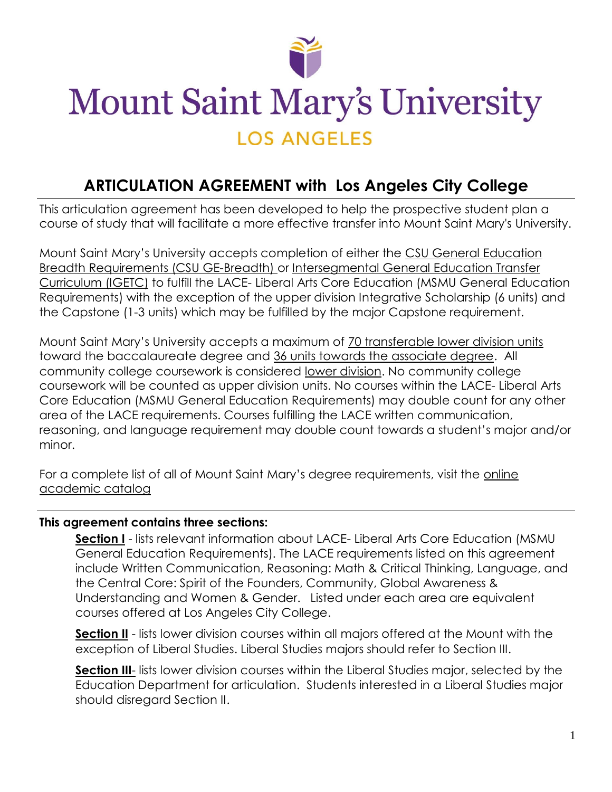

# **Mount Saint Mary's University LOS ANGELES**

#### **ARTICULATION AGREEMENT with Los Angeles City College**

This articulation agreement has been developed to help the prospective student plan a course of study that will facilitate a more effective transfer into Mount Saint Mary's University.

Mount Saint Mary's University accepts completion of either the CSU General Education Breadth Requirements (CSU GE-Breadth) or Intersegmental General Education Transfer Curriculum (IGETC) to fulfill the LACE- Liberal Arts Core Education (MSMU General Education Requirements) with the exception of the upper division Integrative Scholarship (6 units) and the Capstone (1-3 units) which may be fulfilled by the major Capstone requirement.

Mount Saint Mary's University accepts a maximum of 70 transferable lower division units toward the baccalaureate degree and 36 units towards the associate degree. All community college coursework is considered lower division. No community college coursework will be counted as upper division units. No courses within the LACE- Liberal Arts Core Education (MSMU General Education Requirements) may double count for any other area of the LACE requirements. Courses fulfilling the LACE written communication, reasoning, and language requirement may double count towards a student's major and/or minor.

For a complete list of all of Mount Saint Mary's degree requirements, visit the [online](https://www.msmu.edu/academics/university-catalogs/)  [academic catalog](https://www.msmu.edu/academics/university-catalogs/)

#### **This agreement contains three sections:**

**[Section I](#page-1-0)** - lists relevant information about LACE- Liberal Arts Core Education (MSMU General Education Requirements). The LACE requirements listed on this agreement include Written Communication, Reasoning: Math & Critical Thinking, Language, and the Central Core: Spirit of the Founders, Community, Global Awareness & Understanding and Women & Gender. Listed under each area are equivalent courses offered at Los Angeles City College.

**[Section II](#page-2-0)** - lists lower division courses within all majors offered at the Mount with the exception of Liberal Studies. Liberal Studies majors should refer to Section III.

**[Section III](#page-14-0)**- lists lower division courses within the Liberal Studies major, selected by the Education Department for articulation. Students interested in a Liberal Studies major should disregard Section II.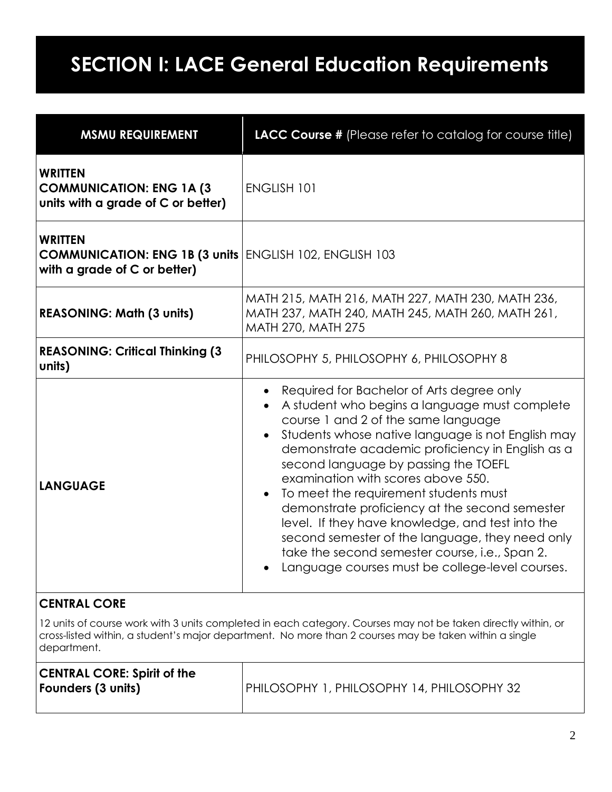## <span id="page-1-0"></span>**SECTION I: LACE General Education Requirements**

| <b>MSMU REQUIREMENT</b>                                                                                          | LACC Course # (Please refer to catalog for course title)                                                                                                                                                                                                                                                                                                                                                                                                                                                                                                                                                                                                    |  |
|------------------------------------------------------------------------------------------------------------------|-------------------------------------------------------------------------------------------------------------------------------------------------------------------------------------------------------------------------------------------------------------------------------------------------------------------------------------------------------------------------------------------------------------------------------------------------------------------------------------------------------------------------------------------------------------------------------------------------------------------------------------------------------------|--|
| <b>WRITTEN</b><br><b>COMMUNICATION: ENG 1A (3)</b><br>units with a grade of C or better)                         | <b>ENGLISH 101</b>                                                                                                                                                                                                                                                                                                                                                                                                                                                                                                                                                                                                                                          |  |
| <b>WRITTEN</b><br><b>COMMUNICATION: ENG 1B (3 units ENGLISH 102, ENGLISH 103</b><br>with a grade of C or better) |                                                                                                                                                                                                                                                                                                                                                                                                                                                                                                                                                                                                                                                             |  |
| <b>REASONING: Math (3 units)</b>                                                                                 | MATH 215, MATH 216, MATH 227, MATH 230, MATH 236,<br>MATH 237, MATH 240, MATH 245, MATH 260, MATH 261,<br>MATH 270, MATH 275                                                                                                                                                                                                                                                                                                                                                                                                                                                                                                                                |  |
| <b>REASONING: Critical Thinking (3)</b><br>units)                                                                | PHILOSOPHY 5, PHILOSOPHY 6, PHILOSOPHY 8                                                                                                                                                                                                                                                                                                                                                                                                                                                                                                                                                                                                                    |  |
| <b>LANGUAGE</b>                                                                                                  | Required for Bachelor of Arts degree only<br>$\bullet$<br>A student who begins a language must complete<br>course 1 and 2 of the same language<br>Students whose native language is not English may<br>$\bullet$<br>demonstrate academic proficiency in English as a<br>second language by passing the TOEFL<br>examination with scores above 550.<br>• To meet the requirement students must<br>demonstrate proficiency at the second semester<br>level. If they have knowledge, and test into the<br>second semester of the language, they need only<br>take the second semester course, i.e., Span 2.<br>Language courses must be college-level courses. |  |
| <b>CENTRAL CORE</b>                                                                                              |                                                                                                                                                                                                                                                                                                                                                                                                                                                                                                                                                                                                                                                             |  |

12 units of course work with 3 units completed in each category. Courses may not be taken directly within, or cross-listed within, a student's major department. No more than 2 courses may be taken within a single department.

| <b>CENTRAL CORE: Spirit of the</b> |                                            |
|------------------------------------|--------------------------------------------|
| <b>Founders (3 units)</b>          | PHILOSOPHY 1, PHILOSOPHY 14, PHILOSOPHY 32 |
|                                    |                                            |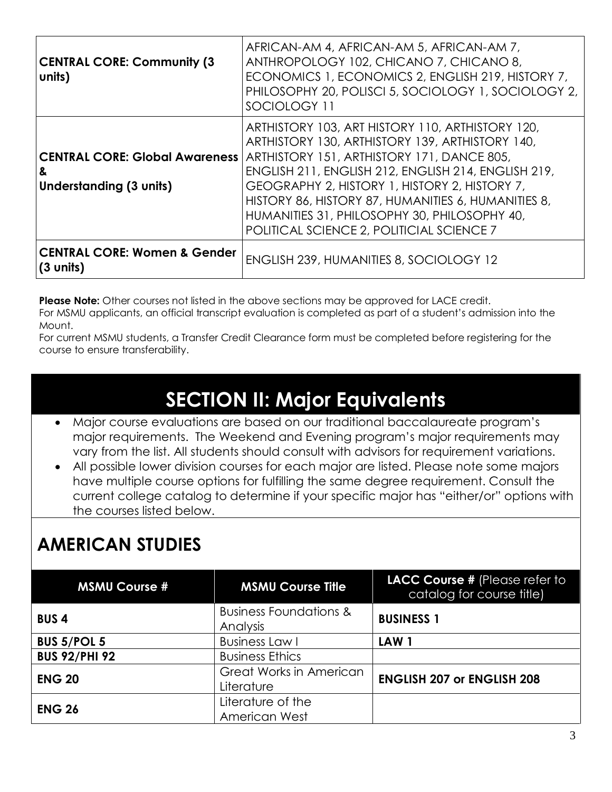| <b>CENTRAL CORE: Community (3)</b><br>units)                          | AFRICAN-AM 4, AFRICAN-AM 5, AFRICAN-AM 7,<br>ANTHROPOLOGY 102, CHICANO 7, CHICANO 8,<br>ECONOMICS 1, ECONOMICS 2, ENGLISH 219, HISTORY 7,<br>PHILOSOPHY 20, POLISCI 5, SOCIOLOGY 1, SOCIOLOGY 2,<br>SOCIOLOGY 11                                                                                                                                                                                              |
|-----------------------------------------------------------------------|---------------------------------------------------------------------------------------------------------------------------------------------------------------------------------------------------------------------------------------------------------------------------------------------------------------------------------------------------------------------------------------------------------------|
| <b>CENTRAL CORE: Global Awareness</b><br>&<br>Understanding (3 units) | ARTHISTORY 103, ART HISTORY 110, ARTHISTORY 120,<br>ARTHISTORY 130, ARTHISTORY 139, ARTHISTORY 140,<br>ARTHISTORY 151, ARTHISTORY 171, DANCE 805,<br>ENGLISH 211, ENGLISH 212, ENGLISH 214, ENGLISH 219,<br>GEOGRAPHY 2, HISTORY 1, HISTORY 2, HISTORY 7,<br>HISTORY 86, HISTORY 87, HUMANITIES 6, HUMANITIES 8,<br>HUMANITIES 31, PHILOSOPHY 30, PHILOSOPHY 40,<br>POLITICAL SCIENCE 2, POLITICIAL SCIENCE 7 |
| <b>CENTRAL CORE: Women &amp; Gender</b><br>(3 units)                  | <b>ENGLISH 239, HUMANITIES 8, SOCIOLOGY 12</b>                                                                                                                                                                                                                                                                                                                                                                |

**Please Note:** Other courses not listed in the above sections may be approved for LACE credit.

For MSMU applicants, an official transcript evaluation is completed as part of a student's admission into the Mount.

<span id="page-2-0"></span>For current MSMU students, a Transfer Credit Clearance form must be completed before registering for the course to ensure transferability.

## **SECTION II: Major Equivalents**

- Major course evaluations are based on our traditional baccalaureate program's major requirements. The Weekend and Evening program's major requirements may vary from the list. All students should consult with advisors for requirement variations.
- All possible lower division courses for each major are listed. Please note some majors have multiple course options for fulfilling the same degree requirement. Consult the current college catalog to determine if your specific major has "either/or" options with the courses listed below.

## **AMERICAN STUDIES**

| <b>MSMU Course #</b> | <b>MSMU Course Title</b>          | LACC Course # (Please refer to<br>catalog for course title) |
|----------------------|-----------------------------------|-------------------------------------------------------------|
| <b>BUS4</b>          | <b>Business Foundations &amp;</b> | <b>BUSINESS 1</b>                                           |
|                      | Analysis                          |                                                             |
| <b>BUS 5/POL 5</b>   | <b>Business Law I</b>             | LAW <sub>1</sub>                                            |
| <b>BUS 92/PHI 92</b> | <b>Business Ethics</b>            |                                                             |
|                      | Great Works in American           |                                                             |
| <b>ENG 20</b>        | Literature                        | <b>ENGLISH 207 or ENGLISH 208</b>                           |
| <b>ENG 26</b>        | Literature of the                 |                                                             |
|                      | American West                     |                                                             |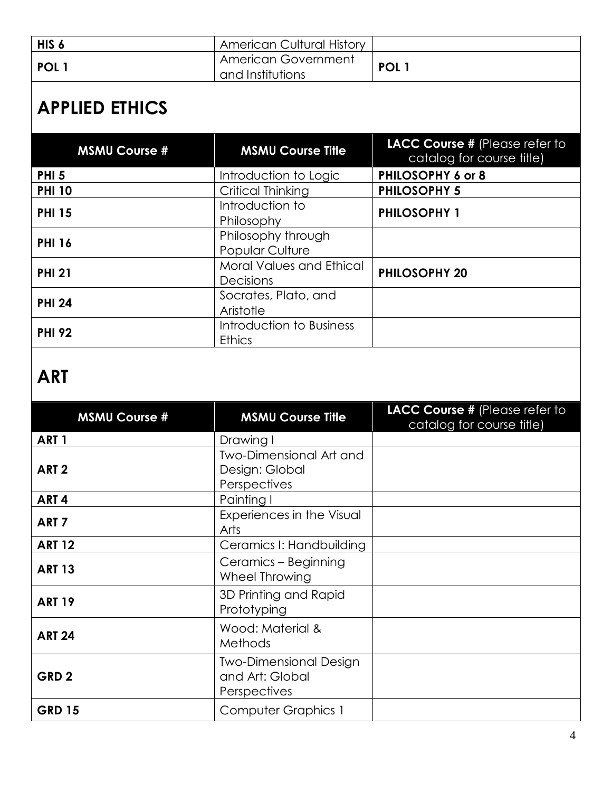| HIS <sub>6</sub> | <b>American Cultural History</b>        |                  |
|------------------|-----------------------------------------|------------------|
| POL <sub>1</sub> | American Government<br>and Institutions | POL <sub>1</sub> |

# **APPLIED ETHICS**

| <b>MSMU Course #</b> | <b>MSMU Course Title</b>                     | LACC Course # (Please refer to<br>catalog for course title) |
|----------------------|----------------------------------------------|-------------------------------------------------------------|
| <b>PHI 5</b>         | Introduction to Logic                        | PHILOSOPHY 6 or 8                                           |
| <b>PHI 10</b>        | Critical Thinking                            | <b>PHILOSOPHY 5</b>                                         |
| <b>PHI 15</b>        | Introduction to<br>Philosophy                | <b>PHILOSOPHY 1</b>                                         |
| <b>PHI 16</b>        | Philosophy through<br>Popular Culture        |                                                             |
| <b>PHI 21</b>        | <b>Moral Values and Ethical</b><br>Decisions | <b>PHILOSOPHY 20</b>                                        |
| <b>PHI 24</b>        | Socrates, Plato, and<br>Aristotle            |                                                             |
| <b>PHI 92</b>        | Introduction to Business<br><b>Ethics</b>    |                                                             |

## **ART**

| <b>MSMU Course #</b> | <b>MSMU Course Title</b>                                         | LACC Course # (Please refer to<br>catalog for course title) |
|----------------------|------------------------------------------------------------------|-------------------------------------------------------------|
| ART <sub>1</sub>     | Drawing I                                                        |                                                             |
| ART <sub>2</sub>     | <b>Two-Dimensional Art and</b><br>Design: Global<br>Perspectives |                                                             |
| ART <sub>4</sub>     | Painting I                                                       |                                                             |
| ART <sub>7</sub>     | Experiences in the Visual<br>Arts                                |                                                             |
| <b>ART 12</b>        | Ceramics I: Handbuilding                                         |                                                             |
| <b>ART 13</b>        | Ceramics – Beginning<br>Wheel Throwing                           |                                                             |
| <b>ART 19</b>        | 3D Printing and Rapid<br>Prototyping                             |                                                             |
| <b>ART 24</b>        | Wood: Material &<br><b>Methods</b>                               |                                                             |
| GRD <sub>2</sub>     | <b>Two-Dimensional Design</b><br>and Art: Global<br>Perspectives |                                                             |
| <b>GRD 15</b>        | <b>Computer Graphics 1</b>                                       |                                                             |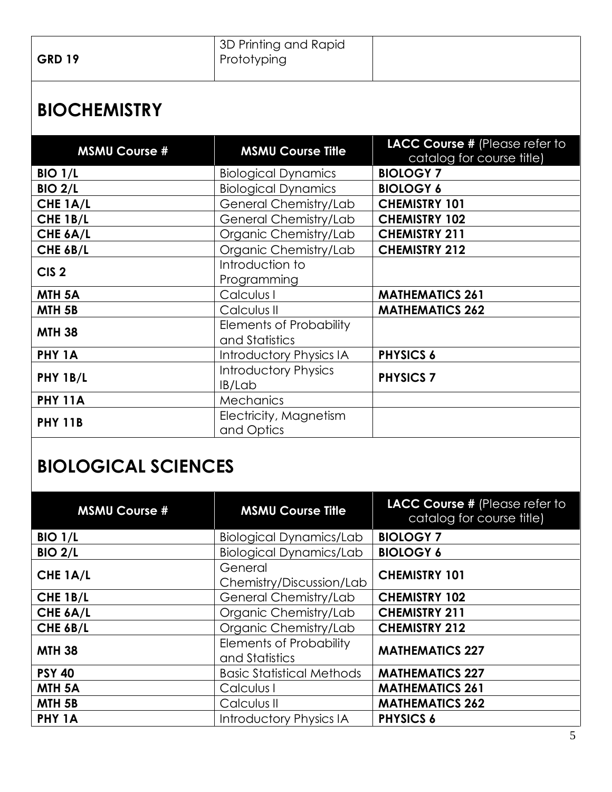| <b>GRD 19</b> | 3D Printing and Rapid<br>Prototyping |  |
|---------------|--------------------------------------|--|
|               |                                      |  |

#### **BIOCHEMISTRY**

| <b>MSMU Course #</b> | <b>MSMU Course Title</b>                         | LACC Course # (Please refer to |
|----------------------|--------------------------------------------------|--------------------------------|
|                      |                                                  | catalog for course title)      |
| <b>BIO 1/L</b>       | <b>Biological Dynamics</b>                       | <b>BIOLOGY 7</b>               |
| <b>BIO 2/L</b>       | <b>Biological Dynamics</b>                       | <b>BIOLOGY 6</b>               |
| CHE 1A/L             | General Chemistry/Lab                            | <b>CHEMISTRY 101</b>           |
| CHE 1B/L             | General Chemistry/Lab                            | <b>CHEMISTRY 102</b>           |
| CHE 6A/L             | Organic Chemistry/Lab                            | <b>CHEMISTRY 211</b>           |
| CHE 6B/L             | Organic Chemistry/Lab                            | <b>CHEMISTRY 212</b>           |
| CIS <sub>2</sub>     | Introduction to<br>Programming                   |                                |
| MTH <sub>5A</sub>    | Calculus I                                       | <b>MATHEMATICS 261</b>         |
| MTH <sub>5B</sub>    | Calculus II                                      | <b>MATHEMATICS 262</b>         |
| <b>MTH 38</b>        | <b>Elements of Probability</b><br>and Statistics |                                |
| PHY 1A               | <b>Introductory Physics IA</b>                   | <b>PHYSICS 6</b>               |
| PHY 1B/L             | <b>Introductory Physics</b><br>IB/Lab            | <b>PHYSICS 7</b>               |
| <b>PHY 11A</b>       | <b>Mechanics</b>                                 |                                |
| <b>PHY 11B</b>       | Electricity, Magnetism<br>and Optics             |                                |

## **BIOLOGICAL SCIENCES**

| <b>MSMU Course #</b> | <b>MSMU Course Title</b>                         | LACC Course # (Please refer to<br>catalog for course title) |
|----------------------|--------------------------------------------------|-------------------------------------------------------------|
| <b>BIO 1/L</b>       | <b>Biological Dynamics/Lab</b>                   | <b>BIOLOGY 7</b>                                            |
| <b>BIO 2/L</b>       | <b>Biological Dynamics/Lab</b>                   | <b>BIOLOGY 6</b>                                            |
| CHE 1A/L             | General<br>Chemistry/Discussion/Lab              | <b>CHEMISTRY 101</b>                                        |
| CHE 1B/L             | General Chemistry/Lab                            | <b>CHEMISTRY 102</b>                                        |
| CHE 6A/L             | Organic Chemistry/Lab                            | <b>CHEMISTRY 211</b>                                        |
| CHE 6B/L             | Organic Chemistry/Lab                            | <b>CHEMISTRY 212</b>                                        |
| <b>MTH 38</b>        | <b>Elements of Probability</b><br>and Statistics | <b>MATHEMATICS 227</b>                                      |
| <b>PSY 40</b>        | <b>Basic Statistical Methods</b>                 | <b>MATHEMATICS 227</b>                                      |
| MTH <sub>5A</sub>    | Calculus I                                       | <b>MATHEMATICS 261</b>                                      |
| MTH <sub>5B</sub>    | Calculus II                                      | <b>MATHEMATICS 262</b>                                      |
| PHY 1A               | <b>Introductory Physics IA</b>                   | <b>PHYSICS 6</b>                                            |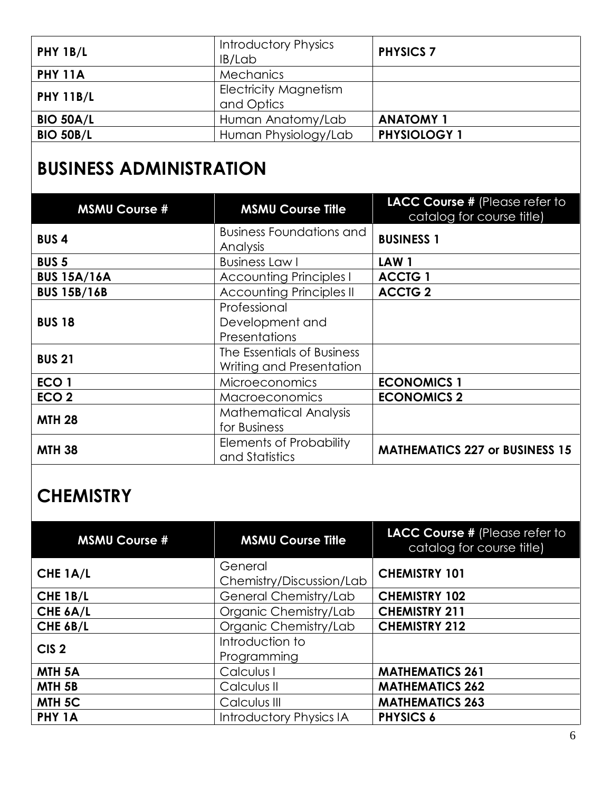| PHY 1B/L         | <b>Introductory Physics</b><br>IB/Lab      | <b>PHYSICS 7</b>    |
|------------------|--------------------------------------------|---------------------|
| <b>PHY 11A</b>   | <b>Mechanics</b>                           |                     |
| <b>PHY 11B/L</b> | <b>Electricity Magnetism</b><br>and Optics |                     |
| <b>BIO 50A/L</b> | Human Anatomy/Lab                          | <b>ANATOMY 1</b>    |
| <b>BIO 50B/L</b> | Human Physiology/Lab                       | <b>PHYSIOLOGY 1</b> |

## **BUSINESS ADMINISTRATION**

| <b>MSMU Course #</b> | <b>MSMU Course Title</b>                               | LACC Course # (Please refer to<br>catalog for course title) |
|----------------------|--------------------------------------------------------|-------------------------------------------------------------|
| <b>BUS4</b>          | <b>Business Foundations and</b><br>Analysis            | <b>BUSINESS 1</b>                                           |
| <b>BUS 5</b>         | <b>Business Law I</b>                                  | LAW <sub>1</sub>                                            |
| <b>BUS 15A/16A</b>   | <b>Accounting Principles I</b>                         | <b>ACCTG 1</b>                                              |
| <b>BUS 15B/16B</b>   | <b>Accounting Principles II</b>                        | <b>ACCTG 2</b>                                              |
| <b>BUS 18</b>        | Professional<br>Development and<br>Presentations       |                                                             |
| <b>BUS 21</b>        | The Essentials of Business<br>Writing and Presentation |                                                             |
| ECO <sub>1</sub>     | <b>Microeconomics</b>                                  | <b>ECONOMICS 1</b>                                          |
| ECO <sub>2</sub>     | <b>Macroeconomics</b>                                  | <b>ECONOMICS 2</b>                                          |
| <b>MTH 28</b>        | <b>Mathematical Analysis</b><br>for Business           |                                                             |
| <b>MTH 38</b>        | <b>Elements of Probability</b><br>and Statistics       | <b>MATHEMATICS 227 or BUSINESS 15</b>                       |

#### **CHEMISTRY**

| <b>MSMU Course #</b> | <b>MSMU Course Title</b>            | LACC Course # (Please refer to<br>catalog for course title) |
|----------------------|-------------------------------------|-------------------------------------------------------------|
| CHE 1A/L             | General<br>Chemistry/Discussion/Lab | <b>CHEMISTRY 101</b>                                        |
| CHE 1B/L             | General Chemistry/Lab               | <b>CHEMISTRY 102</b>                                        |
| CHE 6A/L             | Organic Chemistry/Lab               | <b>CHEMISTRY 211</b>                                        |
| CHE 6B/L             | Organic Chemistry/Lab               | <b>CHEMISTRY 212</b>                                        |
| CIS <sub>2</sub>     | Introduction to<br>Programming      |                                                             |
| MTH <sub>5A</sub>    | Calculus I                          | <b>MATHEMATICS 261</b>                                      |
| MTH <sub>5B</sub>    | Calculus II                         | <b>MATHEMATICS 262</b>                                      |
| MTH <sub>5C</sub>    | Calculus III                        | <b>MATHEMATICS 263</b>                                      |
| PHY 1A               | <b>Introductory Physics IA</b>      | <b>PHYSICS 6</b>                                            |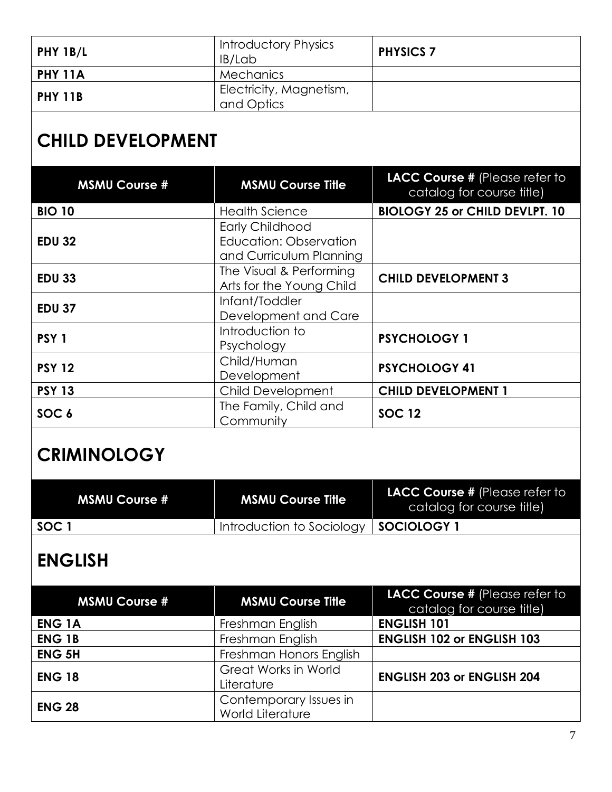| PHY 1B/L       | <b>Introductory Physics</b><br>IB/Lab | <b>PHYSICS 7</b> |
|----------------|---------------------------------------|------------------|
| PHY 11A        | Mechanics                             |                  |
| <b>PHY 11B</b> | Electricity, Magnetism,<br>and Optics |                  |

## **CHILD DEVELOPMENT**

| <b>MSMU Course #</b> | <b>MSMU Course Title</b> | LACC Course # (Please refer to<br>catalog for course title) |
|----------------------|--------------------------|-------------------------------------------------------------|
| <b>BIO 10</b>        | <b>Health Science</b>    | <b>BIOLOGY 25 or CHILD DEVLPT. 10</b>                       |
|                      | <b>Early Childhood</b>   |                                                             |
| <b>EDU 32</b>        | Education: Observation   |                                                             |
|                      | and Curriculum Planning  |                                                             |
| <b>EDU 33</b>        | The Visual & Performing  | <b>CHILD DEVELOPMENT 3</b>                                  |
|                      | Arts for the Young Child |                                                             |
| <b>EDU 37</b>        | Infant/Toddler           |                                                             |
|                      | Development and Care     |                                                             |
| PSY <sub>1</sub>     | Introduction to          | <b>PSYCHOLOGY 1</b>                                         |
|                      | Psychology               |                                                             |
| <b>PSY 12</b>        | Child/Human              | <b>PSYCHOLOGY 41</b>                                        |
|                      | Development              |                                                             |
| <b>PSY 13</b>        | Child Development        | <b>CHILD DEVELOPMENT 1</b>                                  |
|                      | The Family, Child and    | <b>SOC 12</b>                                               |
| SOC <sub>6</sub>     | Community                |                                                             |

## **CRIMINOLOGY**

| <b>MSMU Course #</b> | <b>MSMU Course Title</b>  | <b>LACC Course # (Please refer to</b><br>catalog for course title) |
|----------------------|---------------------------|--------------------------------------------------------------------|
| SOC 1                | Introduction to Sociology | SOCIOLOGY 1                                                        |

## **ENGLISH**

| <b>MSMU Course #</b> | <b>MSMU Course Title</b>                   | LACC Course # (Please refer to<br>catalog for course title) |
|----------------------|--------------------------------------------|-------------------------------------------------------------|
| <b>ENG 1A</b>        | Freshman English                           | <b>ENGLISH 101</b>                                          |
| <b>ENG 1B</b>        | Freshman English                           | <b>ENGLISH 102 or ENGLISH 103</b>                           |
| <b>ENG 5H</b>        | Freshman Honors English                    |                                                             |
| <b>ENG 18</b>        | <b>Great Works in World</b><br>Literature  | <b>ENGLISH 203 or ENGLISH 204</b>                           |
| <b>ENG 28</b>        | Contemporary Issues in<br>World Literature |                                                             |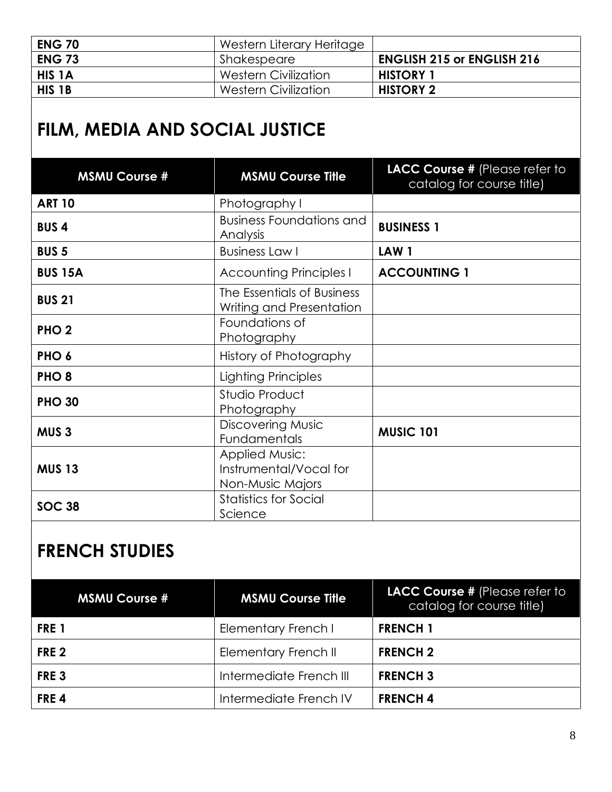| <b>ENG 70</b> | Western Literary Heritage   |                                   |
|---------------|-----------------------------|-----------------------------------|
| <b>ENG 73</b> | Shakespeare                 | <b>ENGLISH 215 or ENGLISH 216</b> |
| <b>HIS 1A</b> | Western Civilization        | <b>HISTORY 1</b>                  |
| HIS 1B        | <b>Western Civilization</b> | <b>HISTORY 2</b>                  |

## **FILM, MEDIA AND SOCIAL JUSTICE**

| <b>MSMU Course #</b> | <b>MSMU Course Title</b>                                            | LACC Course # (Please refer to<br>catalog for course title) |
|----------------------|---------------------------------------------------------------------|-------------------------------------------------------------|
| <b>ART 10</b>        | Photography I                                                       |                                                             |
| <b>BUS4</b>          | <b>Business Foundations and</b><br>Analysis                         | <b>BUSINESS 1</b>                                           |
| <b>BUS 5</b>         | <b>Business Law I</b>                                               | LAW <sub>1</sub>                                            |
| <b>BUS 15A</b>       | <b>Accounting Principles I</b>                                      | <b>ACCOUNTING 1</b>                                         |
| <b>BUS 21</b>        | The Essentials of Business<br>Writing and Presentation              |                                                             |
| PHO <sub>2</sub>     | Foundations of<br>Photography                                       |                                                             |
| PHO <sub>6</sub>     | History of Photography                                              |                                                             |
| PHO <sub>8</sub>     | Lighting Principles                                                 |                                                             |
| <b>PHO 30</b>        | Studio Product<br>Photography                                       |                                                             |
| MUS <sub>3</sub>     | <b>Discovering Music</b><br>Fundamentals                            | <b>MUSIC 101</b>                                            |
| <b>MUS 13</b>        | <b>Applied Music:</b><br>Instrumental/Vocal for<br>Non-Music Majors |                                                             |
| <b>SOC 38</b>        | <b>Statistics for Social</b><br>Science                             |                                                             |

#### **FRENCH STUDIES**

| <b>MSMU Course #</b> | <b>MSMU Course Title</b>    | LACC Course # (Please refer to<br>catalog for course title) |
|----------------------|-----------------------------|-------------------------------------------------------------|
| FRE <sub>1</sub>     | Elementary French I         | <b>FRENCH 1</b>                                             |
| FRE <sub>2</sub>     | <b>Elementary French II</b> | <b>FRENCH 2</b>                                             |
| FRE <sub>3</sub>     | Intermediate French III     | <b>FRENCH 3</b>                                             |
| FRE <sub>4</sub>     | Intermediate French IV      | <b>FRENCH4</b>                                              |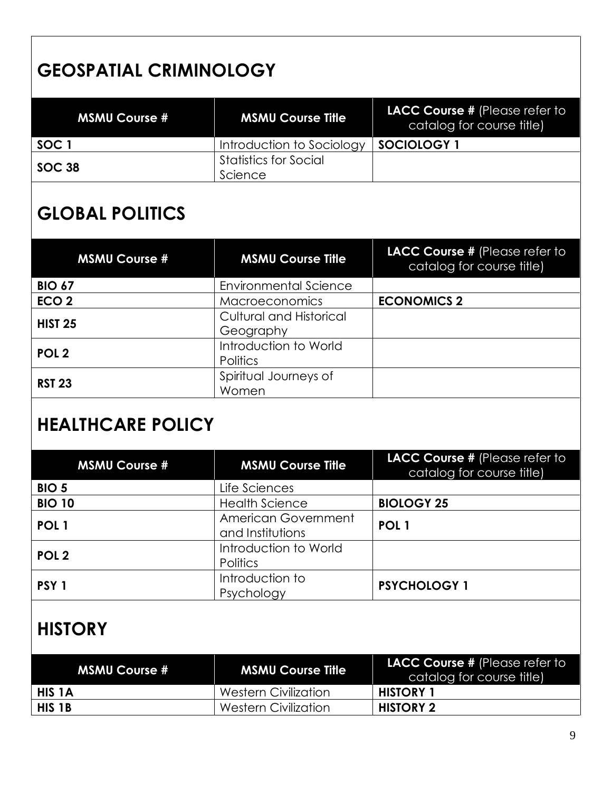## **GEOSPATIAL CRIMINOLOGY**

| <b>MSMU Course #</b> | <b>MSMU Course Title</b>                | <b>LACC Course # (Please refer to</b><br>catalog for course title) |
|----------------------|-----------------------------------------|--------------------------------------------------------------------|
| SOC <sup>1</sup>     | Introduction to Sociology               | SOCIOLOGY                                                          |
| SOC 38               | <b>Statistics for Social</b><br>Science |                                                                    |

#### **GLOBAL POLITICS**

| <b>MSMU Course #</b> | <b>MSMU Course Title</b>                    | LACC Course # (Please refer to<br>catalog for course title) |
|----------------------|---------------------------------------------|-------------------------------------------------------------|
| <b>BIO 67</b>        | <b>Environmental Science</b>                |                                                             |
| ECO <sub>2</sub>     | Macroeconomics                              | <b>ECONOMICS 2</b>                                          |
| <b>HIST 25</b>       | <b>Cultural and Historical</b><br>Geography |                                                             |
| POL <sub>2</sub>     | Introduction to World<br><b>Politics</b>    |                                                             |
| <b>RST 23</b>        | Spiritual Journeys of<br>Women              |                                                             |

#### **HEALTHCARE POLICY**

| <b>MSMU Course #</b> | <b>MSMU Course Title</b>                 | LACC Course # (Please refer to<br>catalog for course title) |
|----------------------|------------------------------------------|-------------------------------------------------------------|
| <b>BIO 5</b>         | Life Sciences                            |                                                             |
| <b>BIO 10</b>        | <b>Health Science</b>                    | <b>BIOLOGY 25</b>                                           |
| POL <sub>1</sub>     | American Government<br>and Institutions  | POL <sub>1</sub>                                            |
| POL <sub>2</sub>     | Introduction to World<br><b>Politics</b> |                                                             |
| PSY <sub>1</sub>     | Introduction to<br>Psychology            | <b>PSYCHOLOGY 1</b>                                         |

#### **HISTORY**

| <b>MSMU Course #</b> | <b>MSMU Course Title</b>    | <b>LACC Course # (Please refer to</b><br>catalog for course title) |
|----------------------|-----------------------------|--------------------------------------------------------------------|
| HIS 1A               | Western Civilization        | <b>HISTORY</b>                                                     |
| HIS <sub>1B</sub>    | <b>Western Civilization</b> | <b>HISTORY 2</b>                                                   |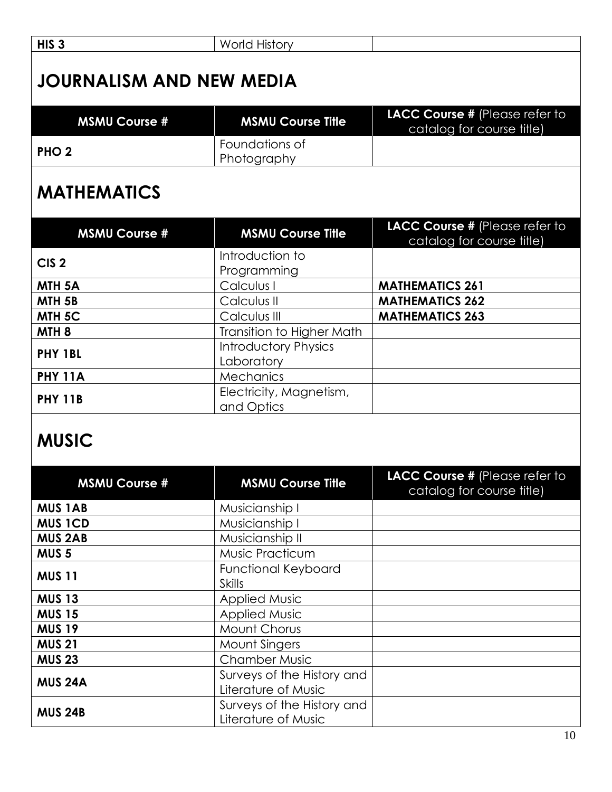| HIS <sub>3</sub>                               | <b>World History</b>                              |                                                             |  |
|------------------------------------------------|---------------------------------------------------|-------------------------------------------------------------|--|
| <b>JOURNALISM AND NEW MEDIA</b>                |                                                   |                                                             |  |
| <b>MSMU Course #</b>                           | <b>MSMU Course Title</b>                          | LACC Course # (Please refer to<br>catalog for course title) |  |
| PHO <sub>2</sub>                               | Foundations of<br>Photography                     |                                                             |  |
| <b>MATHEMATICS</b>                             |                                                   |                                                             |  |
| <b>MSMU Course #</b>                           | <b>MSMU Course Title</b>                          | LACC Course # Please refer to<br>catalog for course title)  |  |
| CIS <sub>2</sub>                               | Introduction to<br>Programming                    |                                                             |  |
| MTH <sub>5A</sub>                              | Calculus I                                        | <b>MATHEMATICS 261</b>                                      |  |
| MTH <sub>5B</sub>                              | Calculus II                                       | <b>MATHEMATICS 262</b>                                      |  |
| MTH <sub>5C</sub>                              | Calculus III                                      | <b>MATHEMATICS 263</b>                                      |  |
| MTH <sub>8</sub>                               | <b>Transition to Higher Math</b>                  |                                                             |  |
| PHY 1BL                                        | <b>Introductory Physics</b><br>Laboratory         |                                                             |  |
| <b>PHY 11A</b>                                 | <b>Mechanics</b>                                  |                                                             |  |
| <b>PHY 11B</b>                                 | Electricity, Magnetism,<br>and Optics             |                                                             |  |
| <b>MUSIC</b><br>LACC Course # (Please refer to |                                                   |                                                             |  |
| <b>MSMU Course #</b>                           | <b>MSMU Course Title</b>                          | catalog for course title)                                   |  |
| <b>MUS 1AB</b>                                 | Musicianship I                                    |                                                             |  |
| <b>MUS 1CD</b>                                 | Musicianship I                                    |                                                             |  |
| <b>MUS 2AB</b>                                 | Musicianship II                                   |                                                             |  |
| MUS <sub>5</sub>                               | Music Practicum                                   |                                                             |  |
| <b>MUS 11</b>                                  | Functional Keyboard<br><b>Skills</b>              |                                                             |  |
| <b>MUS 13</b>                                  | <b>Applied Music</b>                              |                                                             |  |
| <b>MUS 15</b>                                  | <b>Applied Music</b>                              |                                                             |  |
| <b>MUS 19</b>                                  | Mount Chorus                                      |                                                             |  |
| <b>MUS 21</b>                                  | Mount Singers                                     |                                                             |  |
| <b>MUS 23</b>                                  | <b>Chamber Music</b>                              |                                                             |  |
| <b>MUS 24A</b>                                 | Surveys of the History and<br>Literature of Music |                                                             |  |
| <b>MUS 24B</b>                                 | Surveys of the History and<br>Literature of Music |                                                             |  |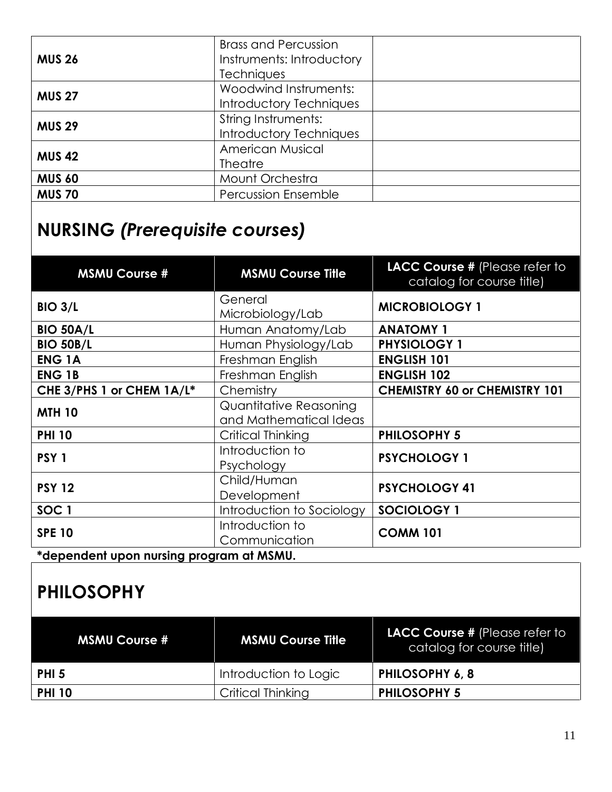|               | <b>Brass and Percussion</b> |  |
|---------------|-----------------------------|--|
| <b>MUS 26</b> | Instruments: Introductory   |  |
|               | <b>Techniques</b>           |  |
| <b>MUS 27</b> | Woodwind Instruments:       |  |
|               | Introductory Techniques     |  |
| <b>MUS 29</b> | String Instruments:         |  |
|               | Introductory Techniques     |  |
| <b>MUS 42</b> | American Musical            |  |
|               | <b>Theatre</b>              |  |
| <b>MUS 60</b> | Mount Orchestra             |  |
| <b>MUS 70</b> | <b>Percussion Ensemble</b>  |  |

## **NURSING** *(Prerequisite courses)*

| <b>MSMU Course #</b>      | <b>MSMU Course Title</b>                         | LACC Course # (Please refer to<br>catalog for course title) |
|---------------------------|--------------------------------------------------|-------------------------------------------------------------|
| <b>BIO 3/L</b>            | General<br>Microbiology/Lab                      | <b>MICROBIOLOGY 1</b>                                       |
| <b>BIO 50A/L</b>          | Human Anatomy/Lab                                | <b>ANATOMY 1</b>                                            |
| <b>BIO 50B/L</b>          | Human Physiology/Lab                             | <b>PHYSIOLOGY 1</b>                                         |
| <b>ENG1A</b>              | Freshman English                                 | <b>ENGLISH 101</b>                                          |
| <b>ENG1B</b>              | Freshman English                                 | <b>ENGLISH 102</b>                                          |
| CHE 3/PHS 1 or CHEM 1A/L* | Chemistry                                        | <b>CHEMISTRY 60 or CHEMISTRY 101</b>                        |
| <b>MTH 10</b>             | Quantitative Reasoning<br>and Mathematical Ideas |                                                             |
| <b>PHI 10</b>             | Critical Thinking                                | <b>PHILOSOPHY 5</b>                                         |
| PSY <sub>1</sub>          | Introduction to<br>Psychology                    | <b>PSYCHOLOGY 1</b>                                         |
| <b>PSY 12</b>             | Child/Human<br>Development                       | <b>PSYCHOLOGY 41</b>                                        |
| SOC <sub>1</sub>          | Introduction to Sociology                        | SOCIOLOGY 1                                                 |
| <b>SPE 10</b>             | Introduction to<br>Communication                 | <b>COMM 101</b>                                             |

**\*dependent upon nursing program at MSMU.** 

## **PHILOSOPHY**

| <b>MSMU Course #</b> | <b>MSMU Course Title</b> | LACC Course # (Please refer to<br>catalog for course title) |
|----------------------|--------------------------|-------------------------------------------------------------|
| <b>PHI 5</b>         | Introduction to Logic    | <b>PHILOSOPHY 6, 8</b>                                      |
| <b>PHI 10</b>        | Critical Thinking        | <b>PHILOSOPHY 5</b>                                         |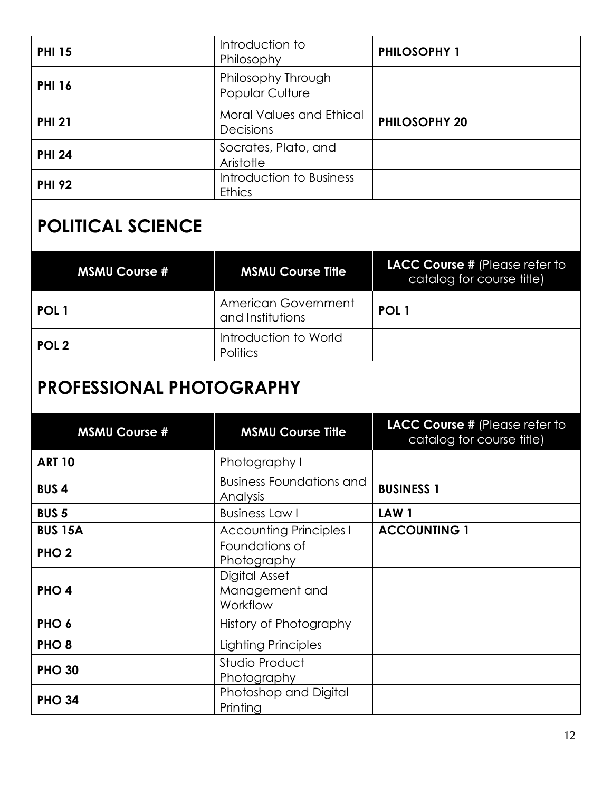| <b>PHI 15</b> | Introduction to<br>Philosophy                | <b>PHILOSOPHY 1</b>  |
|---------------|----------------------------------------------|----------------------|
| <b>PHI 16</b> | Philosophy Through<br><b>Popular Culture</b> |                      |
| <b>PHI 21</b> | Moral Values and Ethical<br>Decisions        | <b>PHILOSOPHY 20</b> |
| <b>PHI 24</b> | Socrates, Plato, and<br>Aristotle            |                      |
| <b>PHI 92</b> | Introduction to Business<br><b>Ethics</b>    |                      |

## **POLITICAL SCIENCE**

| <b>MSMU Course #</b> | <b>MSMU Course Title</b>                 | LACC Course # (Please refer to<br>catalog for course title) |
|----------------------|------------------------------------------|-------------------------------------------------------------|
| POL <sub>1</sub>     | American Government<br>and Institutions  | POL <sub>1</sub>                                            |
| POL <sub>2</sub>     | Introduction to World<br><b>Politics</b> |                                                             |

## **PROFESSIONAL PHOTOGRAPHY**

| <b>MSMU Course #</b> | <b>MSMU Course Title</b>                    | LACC Course # (Please refer to<br>catalog for course title) |
|----------------------|---------------------------------------------|-------------------------------------------------------------|
| <b>ART 10</b>        | Photography I                               |                                                             |
| <b>BUS4</b>          | <b>Business Foundations and</b><br>Analysis | <b>BUSINESS 1</b>                                           |
| <b>BUS 5</b>         | <b>Business Law I</b>                       | LAW <sub>1</sub>                                            |
| <b>BUS 15A</b>       | <b>Accounting Principles I</b>              | <b>ACCOUNTING 1</b>                                         |
| PHO <sub>2</sub>     | Foundations of<br>Photography               |                                                             |
| PHO <sub>4</sub>     | Digital Asset<br>Management and<br>Workflow |                                                             |
| PHO <sub>6</sub>     | History of Photography                      |                                                             |
| PHO <sub>8</sub>     | Lighting Principles                         |                                                             |
| <b>PHO 30</b>        | Studio Product<br>Photography               |                                                             |
| <b>PHO 34</b>        | Photoshop and Digital<br>Printing           |                                                             |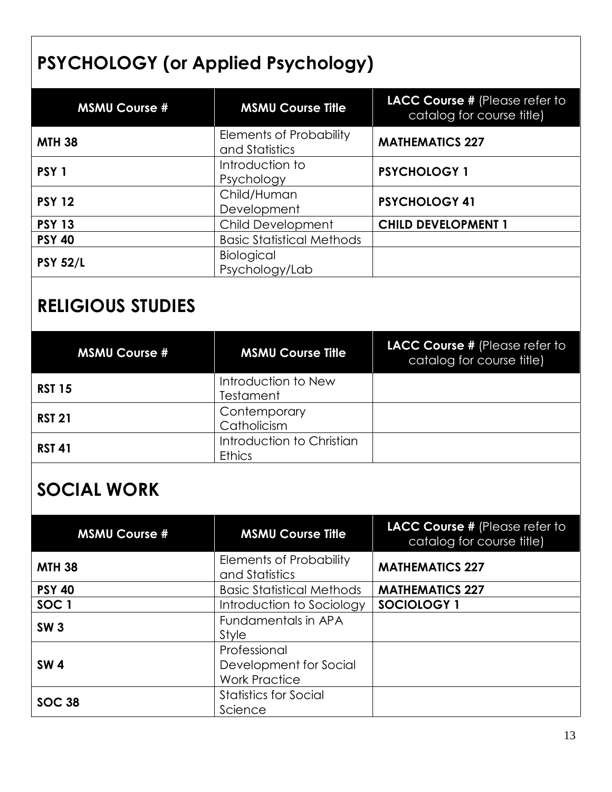## **PSYCHOLOGY (or Applied Psychology)**

| <b>MSMU Course #</b> | <b>MSMU Course Title</b>                         | LACC Course # (Please refer to<br>catalog for course title) |
|----------------------|--------------------------------------------------|-------------------------------------------------------------|
| <b>MTH 38</b>        | <b>Elements of Probability</b><br>and Statistics | <b>MATHEMATICS 227</b>                                      |
| PSY <sub>1</sub>     | Introduction to<br>Psychology                    | <b>PSYCHOLOGY 1</b>                                         |
| <b>PSY 12</b>        | Child/Human<br>Development                       | <b>PSYCHOLOGY 41</b>                                        |
| <b>PSY 13</b>        | Child Development                                | <b>CHILD DEVELOPMENT 1</b>                                  |
| <b>PSY 40</b>        | <b>Basic Statistical Methods</b>                 |                                                             |
| <b>PSY 52/L</b>      | Biological<br>Psychology/Lab                     |                                                             |

## **RELIGIOUS STUDIES**

| <b>MSMU Course #</b> | <b>MSMU Course Title</b>                   | LACC Course # (Please refer to<br>catalog for course title) |
|----------------------|--------------------------------------------|-------------------------------------------------------------|
| <b>RST 15</b>        | Introduction to New<br><b>Testament</b>    |                                                             |
| <b>RST 21</b>        | Contemporary<br>Catholicism                |                                                             |
| <b>RST 41</b>        | Introduction to Christian<br><b>Ethics</b> |                                                             |

#### **SOCIAL WORK**

| <b>MSMU Course #</b> | <b>MSMU Course Title</b>                                       | LACC Course # (Please refer to<br>catalog for course title) |
|----------------------|----------------------------------------------------------------|-------------------------------------------------------------|
| <b>MTH 38</b>        | <b>Elements of Probability</b><br>and Statistics               | <b>MATHEMATICS 227</b>                                      |
| <b>PSY 40</b>        | <b>Basic Statistical Methods</b>                               | <b>MATHEMATICS 227</b>                                      |
| SOC <sub>1</sub>     | Introduction to Sociology                                      | SOCIOLOGY 1                                                 |
| <b>SW3</b>           | Fundamentals in APA<br>Style                                   |                                                             |
| <b>SW4</b>           | Professional<br>Development for Social<br><b>Work Practice</b> |                                                             |
| <b>SOC 38</b>        | <b>Statistics for Social</b><br>Science                        |                                                             |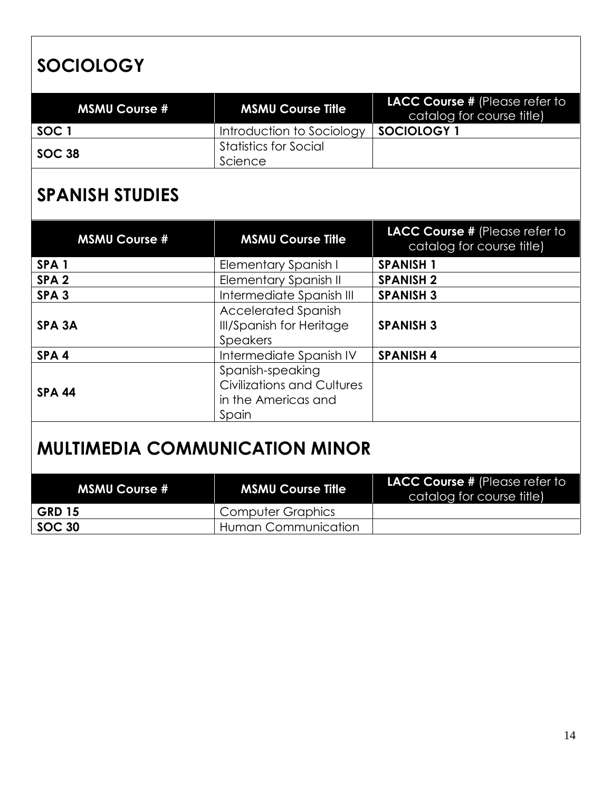## **SOCIOLOGY**

| <b>MSMU Course #</b> | <b>MSMU Course Title</b>  | <b>LACC Course # (Please refer to</b><br>catalog for course title) |
|----------------------|---------------------------|--------------------------------------------------------------------|
| SOC 1                | Introduction to Sociology | <b>SOCIOLOGY</b>                                                   |
| SOC 38               | Statistics for Social     |                                                                    |
|                      | Science                   |                                                                    |

## **SPANISH STUDIES**

| <b>MSMU Course #</b> | <b>MSMU Course Title</b>                                                              | LACC Course # (Please refer to<br>catalog for course title) |
|----------------------|---------------------------------------------------------------------------------------|-------------------------------------------------------------|
| SPA <sub>1</sub>     | Elementary Spanish I                                                                  | <b>SPANISH 1</b>                                            |
| SPA <sub>2</sub>     | <b>Elementary Spanish II</b>                                                          | <b>SPANISH 2</b>                                            |
| SPA <sub>3</sub>     | Intermediate Spanish III                                                              | <b>SPANISH 3</b>                                            |
| SPA <sub>3</sub> A   | <b>Accelerated Spanish</b><br><b>III/Spanish for Heritage</b><br><b>Speakers</b>      | <b>SPANISH 3</b>                                            |
| SPA <sub>4</sub>     | Intermediate Spanish IV                                                               | <b>SPANISH 4</b>                                            |
| <b>SPA 44</b>        | Spanish-speaking<br><b>Civilizations and Cultures</b><br>in the Americas and<br>Spain |                                                             |

## **MULTIMEDIA COMMUNICATION MINOR**

| <b>MSMU Course #</b> | <b>MSMU Course Title</b> | <b>LACC Course # (Please refer to</b><br>catalog for course title) |
|----------------------|--------------------------|--------------------------------------------------------------------|
| <b>GRD 15</b>        | Computer Graphics        |                                                                    |
| SOC 30               | Human Communication      |                                                                    |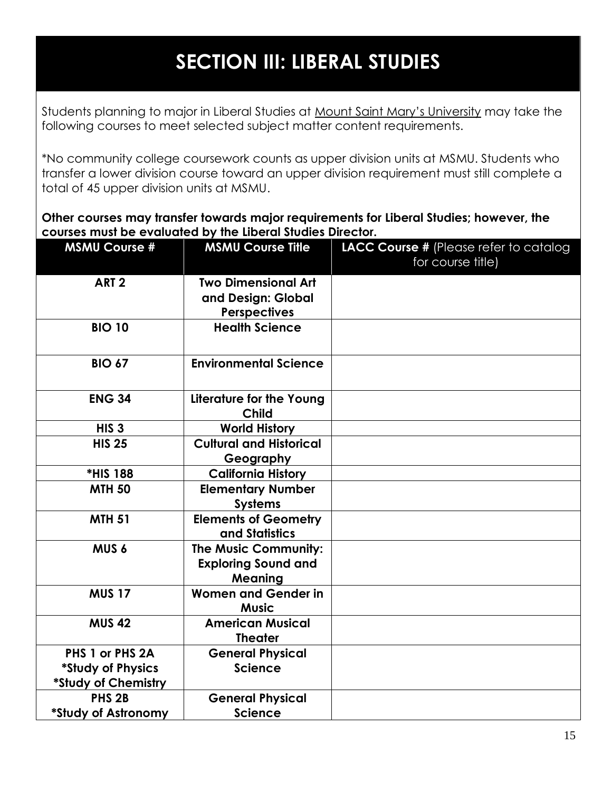## **SECTION III: LIBERAL STUDIES**

<span id="page-14-0"></span>Students planning to major in Liberal Studies at Mount Saint Mary's University may take the following courses to meet selected subject matter content requirements.

\*No community college coursework counts as upper division units at MSMU. Students who transfer a lower division course toward an upper division requirement must still complete a total of 45 upper division units at MSMU.

**Other courses may transfer towards major requirements for Liberal Studies; however, the courses must be evaluated by the Liberal Studies Director.**

| <b>MSMU Course #</b> | <b>MSMU Course Title</b>                      | LACC Course # (Please refer to catalog |
|----------------------|-----------------------------------------------|----------------------------------------|
|                      |                                               | for course title)                      |
| ART <sub>2</sub>     | <b>Two Dimensional Art</b>                    |                                        |
|                      | and Design: Global                            |                                        |
|                      | <b>Perspectives</b>                           |                                        |
| <b>BIO 10</b>        | <b>Health Science</b>                         |                                        |
| <b>BIO 67</b>        | <b>Environmental Science</b>                  |                                        |
| <b>ENG 34</b>        | Literature for the Young<br><b>Child</b>      |                                        |
| HIS <sub>3</sub>     | <b>World History</b>                          |                                        |
| <b>HIS 25</b>        | <b>Cultural and Historical</b>                |                                        |
|                      | Geography                                     |                                        |
| *HIS 188             | <b>California History</b>                     |                                        |
| <b>MTH 50</b>        | <b>Elementary Number</b>                      |                                        |
|                      | <b>Systems</b>                                |                                        |
| <b>MTH 51</b>        | <b>Elements of Geometry</b><br>and Statistics |                                        |
| MUS <sub>6</sub>     | The Music Community:                          |                                        |
|                      | <b>Exploring Sound and</b>                    |                                        |
|                      | <b>Meaning</b>                                |                                        |
| <b>MUS 17</b>        | <b>Women and Gender in</b><br><b>Music</b>    |                                        |
| <b>MUS 42</b>        | <b>American Musical</b><br><b>Theater</b>     |                                        |
| PHS 1 or PHS 2A      | <b>General Physical</b>                       |                                        |
| *Study of Physics    | <b>Science</b>                                |                                        |
| *Study of Chemistry  |                                               |                                        |
| PHS <sub>2B</sub>    | <b>General Physical</b>                       |                                        |
| *Study of Astronomy  | <b>Science</b>                                |                                        |